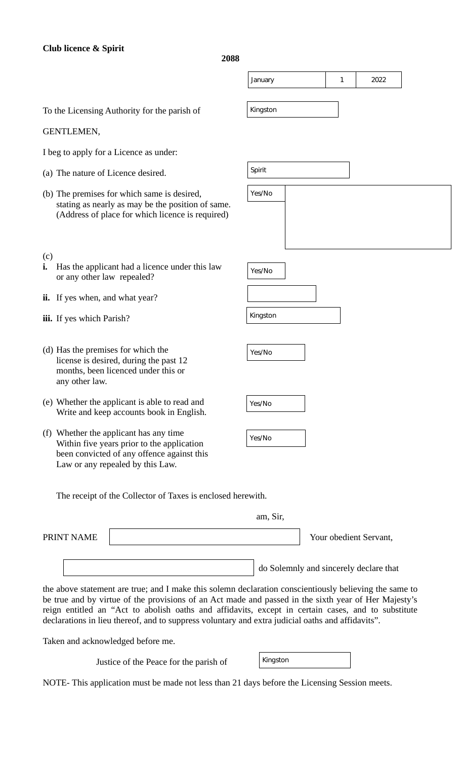## **Club licence & Spirit**

**2088**

Kingston

To the Licensing Authority for the parish of

## GENTLEMEN,

I beg to apply for a Licence as under:

- (a) The nature of Licence desired.
- (b) The premises for which same is desired, stating as nearly as may be the position of same. (Address of place for which licence is required)
- Spirit  $\blacktriangledown$ Yes/No $\blacktriangledown$ Yes/No

 $\left| \mathbf{v} \right|$ 

January  $\boxed{\mathbf{v}}$  1  $\boxed{\mathbf{v}}$  2022

 $\blacktriangledown$ 

- (c) **i.** Has the applicant had a licence under this law or any other law repealed?
- **ii.** If yes when, and what year?
- **iii.** If yes which Parish?
- (d) Has the premises for which the license is desired, during the past 12 months, been licenced under this or any other law.
- (e) Whether the applicant is able to read and Write and keep accounts book in English.
- (f) Whether the applicant has any time Within five years prior to the application been convicted of any offence against this Law or any repealed by this Law.

| $Yes/No$   $\blacktriangleright$ |  |
|----------------------------------|--|
| Kingston                         |  |
|                                  |  |
| Yes/No                           |  |

| Yes/No |  |
|--------|--|
|        |  |

| ∆>م<br>In |  |
|-----------|--|
|-----------|--|

The receipt of the Collector of Taxes is enclosed herewith.

|            | am, Sir,                               |
|------------|----------------------------------------|
| PRINT NAME | Your obedient Servant,                 |
|            | do Solemnly and sincerely declare that |
|            |                                        |

the above statement are true; and I make this solemn declaration conscientiously believing the same to be true and by virtue of the provisions of an Act made and passed in the sixth year of Her Majesty's reign entitled an "Act to abolish oaths and affidavits, except in certain cases, and to substitute declarations in lieu thereof, and to suppress voluntary and extra judicial oaths and affidavits".

Taken and acknowledged before me.

Justice of the Peace for the parish of

| Kingston |  |
|----------|--|
|----------|--|

NOTE- This application must be made not less than 21 days before the Licensing Session meets.